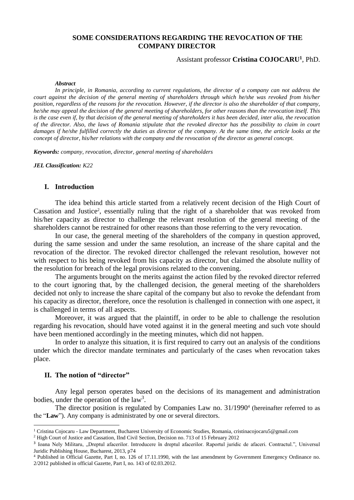# **SOME CONSIDERATIONS REGARDING THE REVOCATION OF THE COMPANY DIRECTOR**

## Assistant professor **Cristina COJOCARU<sup>1</sup>** , PhD.

#### *Abstract*

*In principle, in Romania, according to current regulations, the director of a company can not address the court against the decision of the general meeting of shareholders through which he/she was revoked from his/her position, regardless of the reasons for the revocation. However, if the director is also the shareholder of that company, he/she may appeal the decision of the general meeting of shareholders, for other reasons than the revocation itself. This is the case even if, by that decision of the general meeting of shareholders it has been decided, inter alia, the revocation of the director. Also, the laws of Romania stipulate that the revoked director has the possibility to claim in court damages if he/she fulfilled correctly the duties as director of the company. At the same time, the article looks at the concept of director, his/her relations with the company and the revocation of the director as general concept.*

*Keywords: company, revocation, director, general meeting of shareholders* 

*JEL Classification: K22*

## **I. Introduction**

The idea behind this article started from a relatively recent decision of the High Court of Cassation and Justice<sup>2</sup>, essentially ruling that the right of a shareholder that was revoked from his/her capacity as director to challenge the relevant resolution of the general meeting of the shareholders cannot be restrained for other reasons than those referring to the very revocation.

In our case, the general meeting of the shareholders of the company in question approved, during the same session and under the same resolution, an increase of the share capital and the revocation of the director. The revoked director challenged the relevant resolution, however not with respect to his being revoked from his capacity as director, but claimed the absolute nullity of the resolution for breach of the legal provisions related to the convening.

The arguments brought on the merits against the action filed by the revoked director referred to the court ignoring that, by the challenged decision, the general meeting of the shareholders decided not only to increase the share capital of the company but also to revoke the defendant from his capacity as director, therefore, once the resolution is challenged in connection with one aspect, it is challenged in terms of all aspects.

Moreover, it was argued that the plaintiff, in order to be able to challenge the resolution regarding his revocation, should have voted against it in the general meeting and such vote should have been mentioned accordingly in the meeting minutes, which did not happen.

In order to analyze this situation, it is first required to carry out an analysis of the conditions under which the director mandate terminates and particularly of the cases when revocation takes place.

## **II. The notion of "director"**

**.** 

Any legal person operates based on the decisions of its management and administration bodies, under the operation of the  $law<sup>3</sup>$ .

The director position is regulated by Companies Law no. 31/1990<sup>4</sup> (hereinafter referred to as the "**Law**"). Any company is administrated by one or several directors.

<sup>1</sup> Cristina Cojocaru - Law Department, Bucharest University of Economic Studies, Romania, cristinacojocaru5@gmail.com

<sup>2</sup> High Court of Justice and Cassation, IInd Civil Section, Decision no. 713 of 15 February 2012

<sup>&</sup>lt;sup>3</sup> Ioana Nely Militaru, "Dreptul afacerilor. Introducere în dreptul afacerilor. Raportul juridic de afaceri. Contractul.", Universul Juridic Publishing House, Bucharest, 2013, p74

<sup>4</sup> Published in Official Gazette, Part I, no. 126 of 17.11.1990, with the last amendment by Government Emergency Ordinance no. 2/2012 published in official Gazette, Part I, no. 143 of 02.03.2012.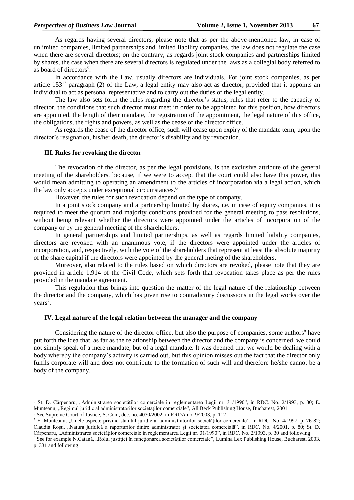As regards having several directors, please note that as per the above-mentioned law, in case of unlimited companies, limited partnerships and limited liability companies, the law does not regulate the case when there are several directors; on the contrary, as regards joint stock companies and partnerships limited by shares, the case when there are several directors is regulated under the laws as a collegial body referred to as board of directors<sup>5</sup>.

In accordance with the Law, usually directors are individuals. For joint stock companies, as per article  $153^{13}$  paragraph (2) of the Law, a legal entity may also act as director, provided that it appoints an individual to act as personal representative and to carry out the duties of the legal entity.

The law also sets forth the rules regarding the director's status, rules that refer to the capacity of director, the conditions that such director must meet in order to be appointed for this position, how directors are appointed, the length of their mandate, the registration of the appointment, the legal nature of this office, the obligations, the rights and powers, as well as the cease of the director office.

As regards the cease of the director office, such will cease upon expiry of the mandate term, upon the director's resignation, his/her death, the director's disability and by revocation.

#### **III. Rules for revoking the director**

The revocation of the director, as per the legal provisions, is the exclusive attribute of the general meeting of the shareholders, because, if we were to accept that the court could also have this power, this would mean admitting to operating an amendment to the articles of incorporation via a legal action, which the law only accepts under exceptional circumstances. 6

However, the rules for such revocation depend on the type of company.

In a joint stock company and a partnership limited by shares, i.e. in case of equity companies, it is required to meet the quorum and majority conditions provided for the general meeting to pass resolutions, without being relevant whether the directors were appointed under the articles of incorporation of the company or by the general meeting of the shareholders.

In general partnerships and limited partnerships, as well as regards limited liability companies, directors are revoked with an unanimous vote, if the directors were appointed under the articles of incorporation, and, respectively, with the vote of the shareholders that represent at least the absolute majority of the share capital if the directors were appointed by the general meting of the shareholders.

Moreover, also related to the rules based on which directors are revoked, please note that they are provided in article 1.914 of the Civil Code, which sets forth that revocation takes place as per the rules provided in the mandate agreement.

This regulation thus brings into question the matter of the legal nature of the relationship between the director and the company, which has given rise to contradictory discussions in the legal works over the years<sup>7</sup>.

## **IV. Legal nature of the legal relation between the manager and the company**

Considering the nature of the director office, but also the purpose of companies, some authors<sup>8</sup> have put forth the idea that, as far as the relationship between the director and the company is concerned, we could not simply speak of a mere mandate, but of a legal mandate. It was deemed that we would be dealing with a body whereby the company's activity is carried out, but this opinion misses out the fact that the director only fulfils corporate will and does not contribute to the formation of such will and therefore he/she cannot be a body of the company.

1

<sup>&</sup>lt;sup>5</sup> St. D. Cărpenaru, "Administrarea societăților comerciale în reglementarea Legii nr. 31/1990", in RDC. No. 2/1993, p. 30; E. Munteanu, "Regimul juridic al administratorilor societăților comerciale", All Beck Publishing House, Bucharest, 2001 <sup>6</sup> See Supreme Court of Justice, S. Com, dec. no. 4030/2002, in RRDA no. 9/2003, p. 112

<sup>&</sup>lt;sup>7</sup> E. Munteanu, "Unele aspecte privind statutul juridic al administratorilor societăților comerciale", in RDC. No. 4/1997, p. 76-82; Claudia Roşu, "Natura juridică a raporturilor dintre administrator şi societatea comercială", in RDC. No. 4/2001, p. 80; St. D. Cărpenaru, "Administrarea societăților comerciale în reglementarea Legii nr. 31/1990", in RDC. No. 2/1993. p. 30 and following

<sup>&</sup>lt;sup>8</sup> See for example N.Catană, "Rolul justiției în funcționarea societăților comerciale", Lumina Lex Publishing House, Bucharest, 2003, p. 331 and following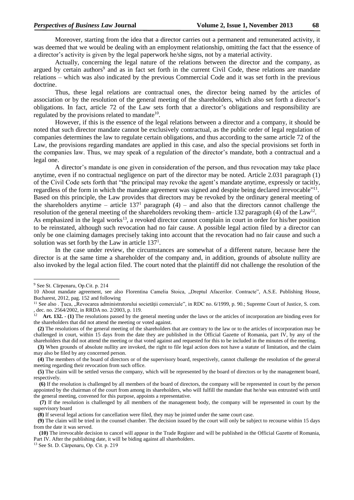Moreover, starting from the idea that a director carries out a permanent and remunerated activity, it was deemed that we would be dealing with an employment relationship, omitting the fact that the essence of a director's activity is given by the legal paperwork he/she signs, not by a material activity.

Actually, concerning the legal nature of the relations between the director and the company, as argued by certain authors<sup>9</sup> and as in fact set forth in the current Civil Code, these relations are mandate relations – which was also indicated by the previous Commercial Code and it was set forth in the previous doctrine.

Thus, these legal relations are contractual ones, the director being named by the articles of association or by the resolution of the general meeting of the shareholders, which also set forth a director's obligations. In fact, article 72 of the Law sets forth that a director's obligations and responsibility are regulated by the provisions related to mandate $^{10}$ .

However, if this is the essence of the legal relations between a director and a company, it should be noted that such director mandate cannot be exclusively contractual, as the public order of legal regulation of companies determines the law to regulate certain obligations, and thus according to the same article 72 of the Law, the provisions regarding mandates are applied in this case, and also the special provisions set forth in the companies law. Thus, we may speak of a regulation of the director's mandate, both a contractual and a legal one.

A director's mandate is one given in consideration of the person, and thus revocation may take place anytime, even if no contractual negligence on part of the director may be noted. Article 2.031 paragraph (1) of the Civil Code sets forth that "the principal may revoke the agent's mandate anytime, expressly or tacitly, regardless of the form in which the mandate agreement was signed and despite being declared irrevocable"<sup>11</sup>. Based on this principle, the Law provides that directors may be revoked by the ordinary general meeting of the shareholders anytime – article  $137<sup>1</sup>$  paragraph (4) – and also that the directors cannot challenge the resolution of the general meeting of the shareholders revoking them– article 132 paragraph (4) of the Law<sup>12</sup>. As emphasized in the legal works<sup>13</sup>, a revoked director cannot complain in court in order for his/her position to be reinstated, although such revocation had no fair cause. A possible legal action filed by a director can only be one claiming damages precisely taking into account that the revocation had no fair cause and such a solution was set forth by the Law in article 137<sup>1</sup>.

In the case under review, the circumstances are somewhat of a different nature, because here the director is at the same time a shareholder of the company and, in addition, grounds of absolute nullity are also invoked by the legal action filed. The court noted that the plaintiff did not challenge the resolution of the

-

<sup>9</sup> See St. Cărpenaru, Op.Cit. p. 214

<sup>10</sup> About mandate agreement, see also Florentina Camelia Stoica, "Dreptul Afacerilor. Contracte", A.S.E. Publishing House, Bucharest, 2012, pag. 152 and following

<sup>&</sup>lt;sup>11</sup> See also . Țuca, "Revocarea administratorului societății comerciale", in RDC no. 6/1999, p. 90.; Supreme Court of Justice, S. com. , dec. no. 2564/2002, in RRDA no. 2/2003, p. 119.<br> $12 \text{ Art } 132 = (1)$  The resolutions passed by the

**Art. 132.** - **(1)** The resolutions passed by the general meeting under the laws or the articles of incorporation are binding even for the shareholders that did not attend the meeting or voted against.

 **<sup>(2)</sup>** The resolutions of the general meeting of the shareholders that are contrary to the law or to the articles of incorporation may be challenged in court, within 15 days from the date they are published in the Official Gazette of Romania, part IV, by any of the shareholders that did not attend the meeting or that voted against and requested for this to be included in the minutes of the meeting.

 **<sup>(3)</sup>** When grounds of absolute nullity are invoked, the right to file legal action does not have a statute of limitation, and the claim may also be filed by any concerned person.

 **<sup>(4)</sup>** The members of the board of directors or of the supervisory board, respectively, cannot challenge the resolution of the general meeting regarding their revocation from such office.

 **<sup>(5)</sup>** The claim will be settled versus the company, which will be represented by the board of directors or by the management board, respectively.

 **<sup>(6)</sup>** If the resolution is challenged by all members of the board of directors, the company will be represented in court by the person appointed by the chairman of the court from among its shareholders, who will fulfill the mandate that he/she was entrusted with until the general meeting, convened for this purpose, appoints a representative.

 **<sup>(7)</sup>** If the resolution is challenged by all members of the management body, the company will be represented in court by the supervisory board

 **<sup>(8)</sup>** If several legal actions for cancellation were filed, they may be jointed under the same court case.

 **<sup>(9)</sup>** The claim will be tried in the counsel chamber. The decision issued by the court will only be subject to recourse within 15 days from the date it was served.

 **<sup>(10)</sup>** The irrevocable decision to cancel will appear in the Trade Register and will be published in the Official Gazette of Romania, Part IV. After the publishing date, it will be biding against all shareholders.

<sup>13</sup> See St. D. Cărpenaru, Op. Cit. p. 219